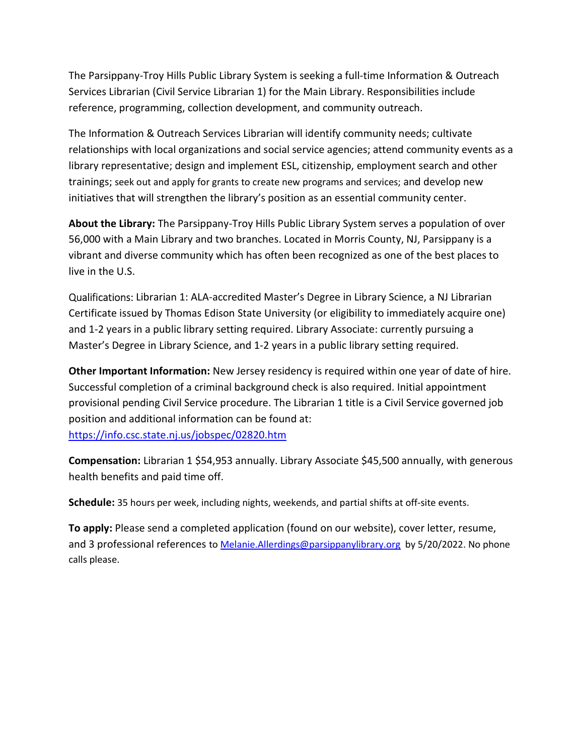The Parsippany-Troy Hills Public Library System is seeking a full-time Information & Outreach Services Librarian (Civil Service Librarian 1) for the Main Library. Responsibilities include reference, programming, collection development, and community outreach.

The Information & Outreach Services Librarian will identify community needs; cultivate relationships with local organizations and social service agencies; attend community events as a library representative; design and implement ESL, citizenship, employment search and other trainings; seek out and apply for grants to create new programs and services; and develop new initiatives that will strengthen the library's position as an essential community center.

About the Library: The Parsippany-Troy Hills Public Library System serves a population of over 56,000 with a Main Library and two branches. Located in Morris County, NJ, Parsippany is a vibrant and diverse community which has often been recognized as one of the best places to live in the U.S.

Qualifications: Librarian 1: ALA-accredited Master's Degree in Library Science, a NJ Librarian Certificate issued by Thomas Edison State University (or eligibility to immediately acquire one) and 1-2 years in a public library setting required. Library Associate: currently pursuing a Master's Degree in Library Science, and 1-2 years in a public library setting required.

Other Important Information: New Jersey residency is required within one year of date of hire. Successful completion of a criminal background check is also required. Initial appointment provisional pending Civil Service procedure. The Librarian 1 title is a Civil Service governed job position and additional information can be found at: https://info.csc.state.nj.us/jobspec/02820.htm

Compensation: Librarian 1 \$54,953 annually. Library Associate \$45,500 annually, with generous health benefits and paid time off.

Schedule: 35 hours per week, including nights, weekends, and partial shifts at off-site events.

To apply: Please send a completed application (found on our website), cover letter, resume, and 3 professional references to Melanie. Allerdings@parsippanylibrary.org by 5/20/2022. No phone calls please.